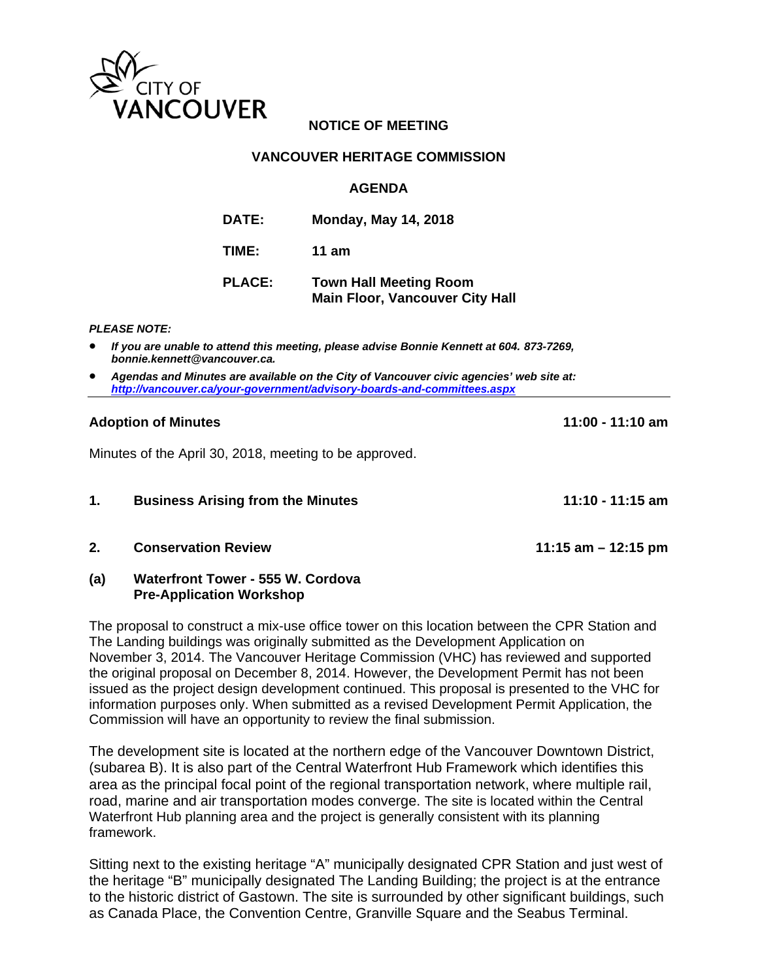

# **NOTICE OF MEETING**

## **VANCOUVER HERITAGE COMMISSION**

## **AGENDA**

| <b>DATE:</b>  | <b>Monday, May 14, 2018</b>                                             |  |
|---------------|-------------------------------------------------------------------------|--|
| TIME:         | 11 am                                                                   |  |
| <b>PLACE:</b> | <b>Town Hall Meeting Room</b><br><b>Main Floor, Vancouver City Hall</b> |  |

### *PLEASE NOTE:*

- *If you are unable to attend this meeting, please advise Bonnie Kennett at 604. 873-7269, bonnie.kennett@vancouver.ca.*
- *Agendas and Minutes are available on the City of Vancouver civic agencies' web site at: http://vancouver.ca/your-government/advisory-boards-and-committees.aspx*

## **Adoption of Minutes 11:00 - 11:10 am**

Minutes of the April 30, 2018, meeting to be approved.

| <b>Business Arising from the Minutes</b> | 11:10 - 11:15 am |
|------------------------------------------|------------------|
|                                          |                  |

**2. Conservation Review 11:15 am – 12:15 pm** 

## **(a) Waterfront Tower - 555 W. Cordova Pre-Application Workshop**

The proposal to construct a mix-use office tower on this location between the CPR Station and The Landing buildings was originally submitted as the Development Application on November 3, 2014. The Vancouver Heritage Commission (VHC) has reviewed and supported the original proposal on December 8, 2014. However, the Development Permit has not been issued as the project design development continued. This proposal is presented to the VHC for information purposes only. When submitted as a revised Development Permit Application, the Commission will have an opportunity to review the final submission.

The development site is located at the northern edge of the Vancouver Downtown District, (subarea B). It is also part of the Central Waterfront Hub Framework which identifies this area as the principal focal point of the regional transportation network, where multiple rail, road, marine and air transportation modes converge. The site is located within the Central Waterfront Hub planning area and the project is generally consistent with its planning framework.

Sitting next to the existing heritage "A" municipally designated CPR Station and just west of the heritage "B" municipally designated The Landing Building; the project is at the entrance to the historic district of Gastown. The site is surrounded by other significant buildings, such as Canada Place, the Convention Centre, Granville Square and the Seabus Terminal.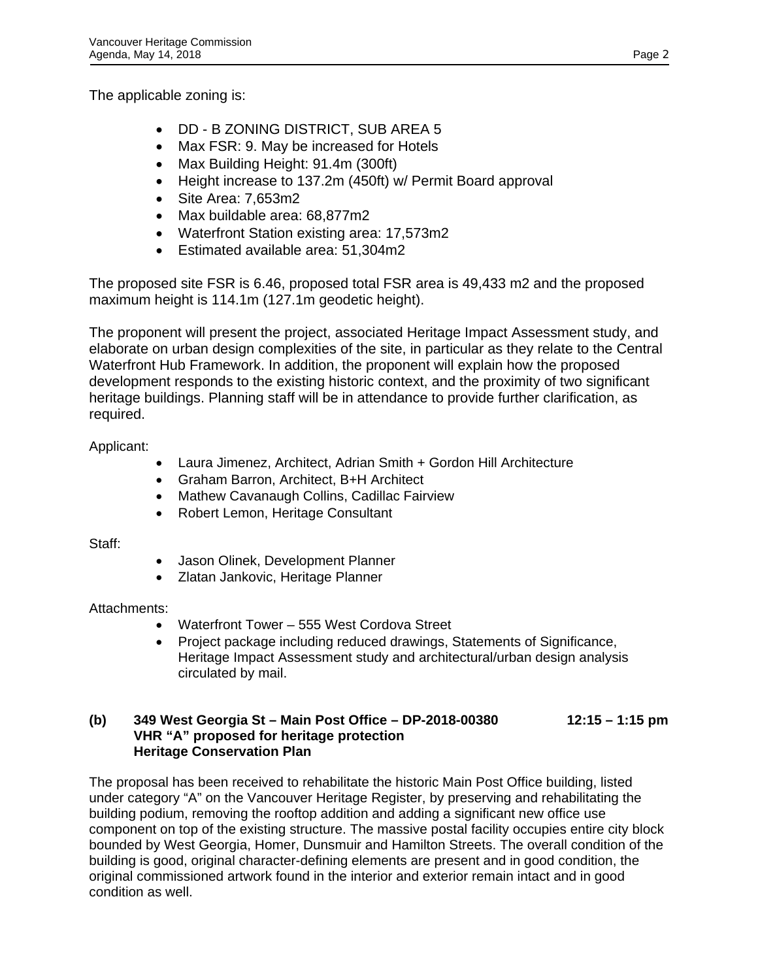The applicable zoning is:

- DD B ZONING DISTRICT, SUB AREA 5
- Max FSR: 9. May be increased for Hotels
- Max Building Height: 91.4m (300ft)
- Height increase to 137.2m (450ft) w/ Permit Board approval
- Site Area: 7,653m2
- Max buildable area: 68,877m2
- Waterfront Station existing area: 17,573m2
- Estimated available area: 51,304m2

The proposed site FSR is 6.46, proposed total FSR area is 49,433 m2 and the proposed maximum height is 114.1m (127.1m geodetic height).

The proponent will present the project, associated Heritage Impact Assessment study, and elaborate on urban design complexities of the site, in particular as they relate to the Central Waterfront Hub Framework. In addition, the proponent will explain how the proposed development responds to the existing historic context, and the proximity of two significant heritage buildings. Planning staff will be in attendance to provide further clarification, as required.

Applicant:

- Laura Jimenez, Architect, Adrian Smith + Gordon Hill Architecture
- Graham Barron, Architect, B+H Architect
- Mathew Cavanaugh Collins, Cadillac Fairview
- Robert Lemon, Heritage Consultant

Staff:

- Jason Olinek, Development Planner
- Zlatan Jankovic, Heritage Planner

# Attachments:

- Waterfront Tower 555 West Cordova Street
- Project package including reduced drawings, Statements of Significance, Heritage Impact Assessment study and architectural/urban design analysis circulated by mail.

# **(b) 349 West Georgia St – Main Post Office – DP-2018-00380 12:15 – 1:15 pm VHR "A" proposed for heritage protection Heritage Conservation Plan**

The proposal has been received to rehabilitate the historic Main Post Office building, listed under category "A" on the Vancouver Heritage Register, by preserving and rehabilitating the building podium, removing the rooftop addition and adding a significant new office use component on top of the existing structure. The massive postal facility occupies entire city block bounded by West Georgia, Homer, Dunsmuir and Hamilton Streets. The overall condition of the building is good, original character-defining elements are present and in good condition, the original commissioned artwork found in the interior and exterior remain intact and in good condition as well.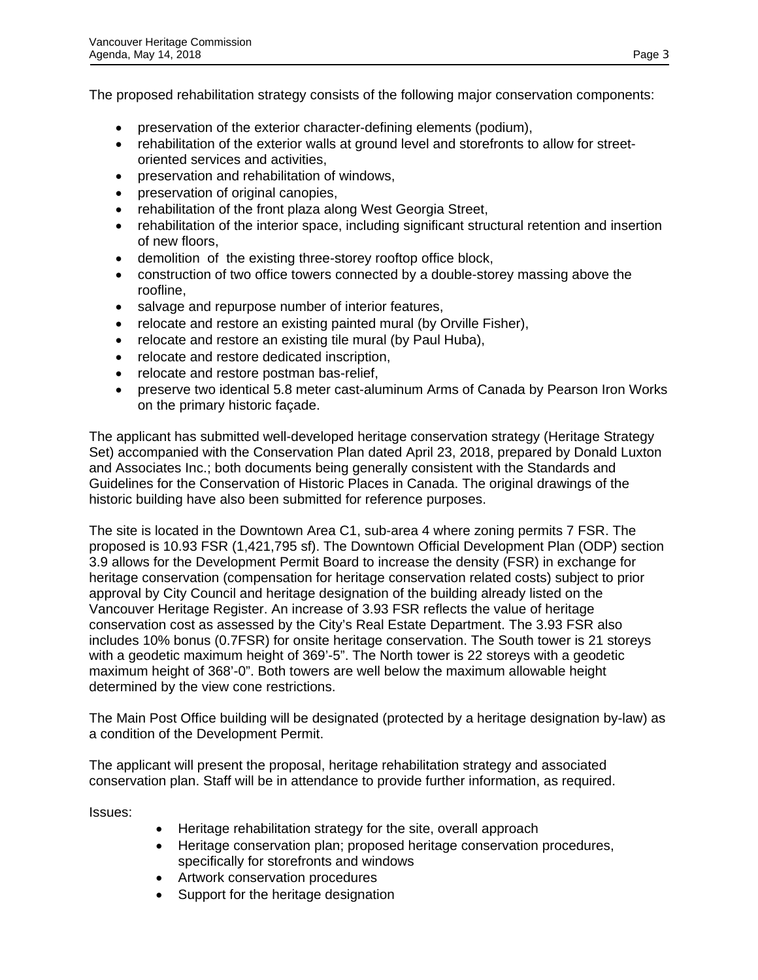The proposed rehabilitation strategy consists of the following major conservation components:

- preservation of the exterior character-defining elements (podium),
- rehabilitation of the exterior walls at ground level and storefronts to allow for streetoriented services and activities,
- preservation and rehabilitation of windows,
- preservation of original canopies,
- rehabilitation of the front plaza along West Georgia Street,
- rehabilitation of the interior space, including significant structural retention and insertion of new floors,
- demolition of the existing three-storey rooftop office block,
- construction of two office towers connected by a double-storey massing above the roofline,
- salvage and repurpose number of interior features,
- relocate and restore an existing painted mural (by Orville Fisher),
- relocate and restore an existing tile mural (by Paul Huba),
- relocate and restore dedicated inscription,
- relocate and restore postman bas-relief,
- preserve two identical 5.8 meter cast-aluminum Arms of Canada by Pearson Iron Works on the primary historic façade.

The applicant has submitted well-developed heritage conservation strategy (Heritage Strategy Set) accompanied with the Conservation Plan dated April 23, 2018, prepared by Donald Luxton and Associates Inc.; both documents being generally consistent with the Standards and Guidelines for the Conservation of Historic Places in Canada. The original drawings of the historic building have also been submitted for reference purposes.

The site is located in the Downtown Area C1, sub-area 4 where zoning permits 7 FSR. The proposed is 10.93 FSR (1,421,795 sf). The Downtown Official Development Plan (ODP) section 3.9 allows for the Development Permit Board to increase the density (FSR) in exchange for heritage conservation (compensation for heritage conservation related costs) subject to prior approval by City Council and heritage designation of the building already listed on the Vancouver Heritage Register. An increase of 3.93 FSR reflects the value of heritage conservation cost as assessed by the City's Real Estate Department. The 3.93 FSR also includes 10% bonus (0.7FSR) for onsite heritage conservation. The South tower is 21 storeys with a geodetic maximum height of 369'-5". The North tower is 22 storeys with a geodetic maximum height of 368'-0". Both towers are well below the maximum allowable height determined by the view cone restrictions.

The Main Post Office building will be designated (protected by a heritage designation by-law) as a condition of the Development Permit.

The applicant will present the proposal, heritage rehabilitation strategy and associated conservation plan. Staff will be in attendance to provide further information, as required.

Issues:

- Heritage rehabilitation strategy for the site, overall approach
- Heritage conservation plan; proposed heritage conservation procedures, specifically for storefronts and windows
- Artwork conservation procedures
- Support for the heritage designation